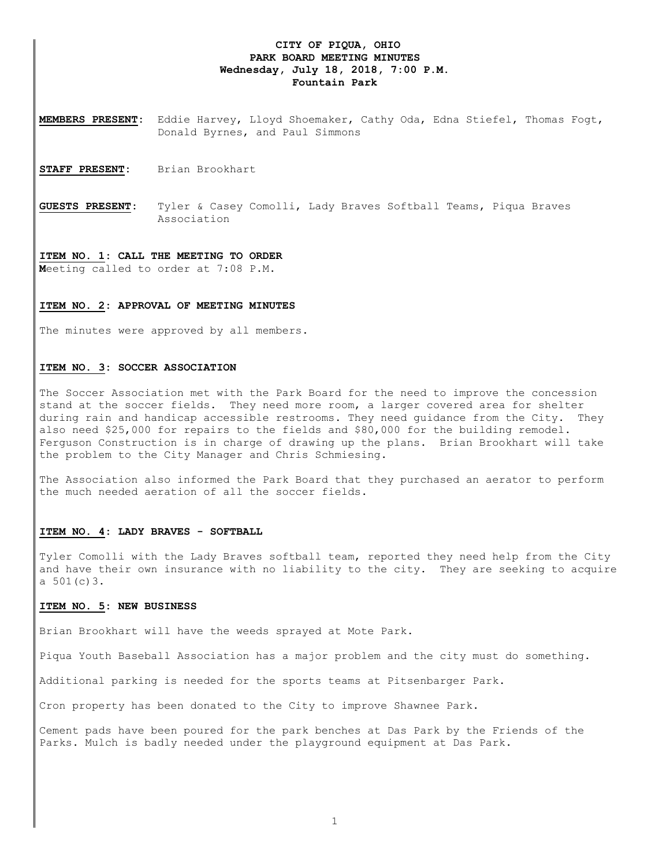## **CITY OF PIQUA, OHIO PARK BOARD MEETING MINUTES Wednesday, July 18, 2018, 7:00 P.M. Fountain Park**

**MEMBERS PRESENT:** Eddie Harvey, Lloyd Shoemaker, Cathy Oda, Edna Stiefel, Thomas Fogt, Donald Byrnes, and Paul Simmons

STAFF PRESENT: Brian Brookhart

**GUESTS PRESENT:** Tyler & Casey Comolli, Lady Braves Softball Teams, Piqua Braves Association

### **ITEM NO. 1: CALL THE MEETING TO ORDER**

**M**eeting called to order at 7:08 P.M.

#### **ITEM NO. 2: APPROVAL OF MEETING MINUTES**

The minutes were approved by all members.

### **ITEM NO. 3: SOCCER ASSOCIATION**

The Soccer Association met with the Park Board for the need to improve the concession stand at the soccer fields. They need more room, a larger covered area for shelter during rain and handicap accessible restrooms. They need guidance from the City. They also need \$25,000 for repairs to the fields and \$80,000 for the building remodel. Ferguson Construction is in charge of drawing up the plans. Brian Brookhart will take the problem to the City Manager and Chris Schmiesing.

The Association also informed the Park Board that they purchased an aerator to perform the much needed aeration of all the soccer fields.

### **ITEM NO. 4: LADY BRAVES - SOFTBALL**

Tyler Comolli with the Lady Braves softball team, reported they need help from the City and have their own insurance with no liability to the city. They are seeking to acquire a  $501(c)3$ .

#### **ITEM NO. 5: NEW BUSINESS**

Brian Brookhart will have the weeds sprayed at Mote Park.

Piqua Youth Baseball Association has a major problem and the city must do something.

Additional parking is needed for the sports teams at Pitsenbarger Park.

Cron property has been donated to the City to improve Shawnee Park.

Cement pads have been poured for the park benches at Das Park by the Friends of the Parks. Mulch is badly needed under the playground equipment at Das Park.